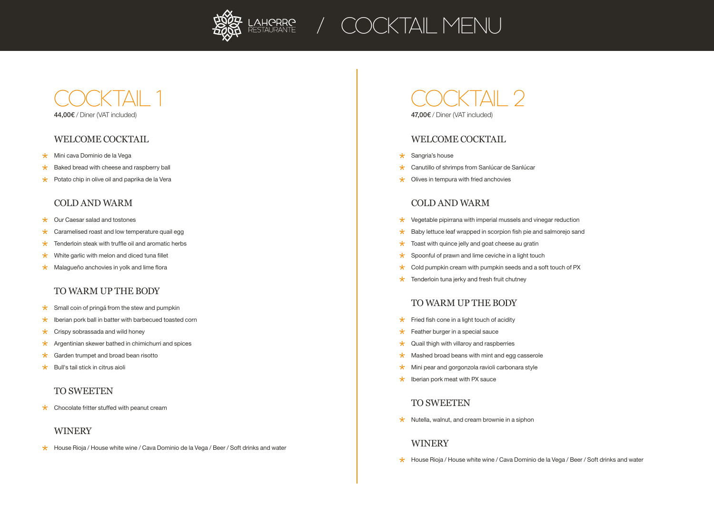

## 44,00€ / Diner (VAT included) COCKTAIL 1

## WELCOME COCKTAIL

- $\star$ Mini cava Dominio de la Vega
- Baked bread with cheese and raspberry ball  $\star$
- $\star$  Potato chip in olive oil and paprika de la Vera

#### COLD AND WARM

- $\star$  Our Caesar salad and tostones
- $\star$  Caramelised roast and low temperature quail egg
- $\star$ Tenderloin steak with truffle oil and aromatic herbs
- $\star$ White garlic with melon and diced tuna fillet
- $\star$  Malagueño anchovies in yolk and lime flora

## TO WARM UP THE BODY

- $\star$  Small coin of pringá from the stew and pumpkin
- $\star$  Iberian pork ball in batter with barbecued toasted corn
- $\star$ Crispy sobrassada and wild honey
- $\star$  Argentinian skewer bathed in chimichurri and spices
- $\star$ Garden trumpet and broad bean risotto
- Bull's tail stick in citrus aioli

## TO SWEETEN

 $\star$  Chocolate fritter stuffed with peanut cream

## WINERY

 $\star$  House Rioja / House white wine / Cava Dominio de la Vega / Beer / Soft drinks and water

47,00€ / Diner (VAT included) COCKTAIL 2

#### WELCOME COCKTAIL

- $\star$  Sangria's house
- \* Canutillo of shrimps from Sanlúcar de Sanlúcar
- $\star$  Olives in tempura with fried anchovies

## COLD AND WARM

- $\star$  Vegetable pipirrana with imperial mussels and vinegar reduction
- $\star$  Baby lettuce leaf wrapped in scorpion fish pie and salmorejo sand
- $\star$  Toast with quince jelly and goat cheese au gratin
- $\star$  Spoonful of prawn and lime ceviche in a light touch
- $\star$  Cold pumpkin cream with pumpkin seeds and a soft touch of PX
- $\star$  Tenderloin tuna jerky and fresh fruit chutney

#### TO WARM UP THE BODY

- $\star$  Fried fish cone in a light touch of acidity
- $\star$  Feather burger in a special sauce
- $\star$  Quail thigh with villaroy and raspberries
- $\star$  Mashed broad beans with mint and egg casserole
- $\star$  Mini pear and gorgonzola ravioli carbonara style
- $\star$  Iberian pork meat with PX sauce

#### TO SWEETEN

 $\star$  Nutella, walnut, and cream brownie in a siphon

## WINERY

 $\star$  House Rioja / House white wine / Cava Dominio de la Vega / Beer / Soft drinks and water